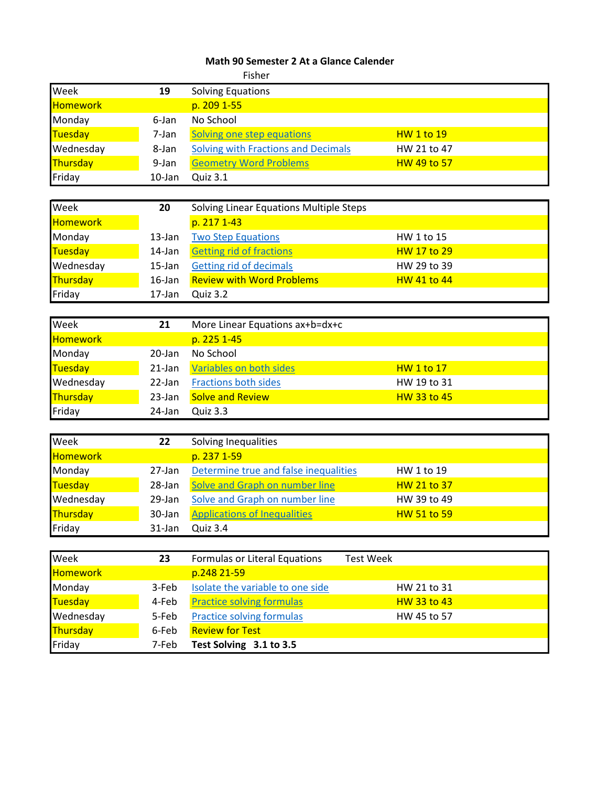## **Math 90 Semester 2 At a Glance Calender**

|                 |           | Fisher                                     |                    |
|-----------------|-----------|--------------------------------------------|--------------------|
| Week            | 19        | <b>Solving Equations</b>                   |                    |
| <b>Homework</b> |           | p. 209 1-55                                |                    |
| Monday          | 6-Jan     | No School                                  |                    |
| Tuesday         | 7-Jan     | Solving one step equations                 | <b>HW 1 to 19</b>  |
| Wednesday       | 8-Jan     | <b>Solving with Fractions and Decimals</b> | HW 21 to 47        |
| Thursday        | 9-Jan     | <b>Geometry Word Problems</b>              | <b>HW 49 to 57</b> |
| Friday          | $10$ -Jan | Quiz 3.1                                   |                    |
|                 |           |                                            |                    |
| Week            | 20        | Solving Linear Equations Multiple Steps    |                    |
| Homework        |           | p. 217 1-43                                |                    |
| Monday          | 13-Jan    | <b>Two Step Equations</b>                  | HW 1 to 15         |
| Tuesday         | 14-Jan    | <b>Getting rid of fractions</b>            | <b>HW 17 to 29</b> |
| Wednesday       | 15-Jan    | <b>Getting rid of decimals</b>             | HW 29 to 39        |
| Thursday        | $16$ -Jan | <b>Review with Word Problems</b>           | <b>HW 41 to 44</b> |
| Friday          | 17-Jan    | Quiz 3.2                                   |                    |
|                 |           |                                            |                    |
| Week            | 21        | More Linear Equations ax+b=dx+c            |                    |
| <b>Homework</b> |           | p. 225 1-45                                |                    |
| Monday          | 20-Jan    | No School                                  |                    |
| Tuesday         | 21-Jan    | Variables on both sides                    | <b>HW 1 to 17</b>  |
| Wednesday       | 22-Jan    | <b>Fractions both sides</b>                | HW 19 to 31        |
| Thursday        | 23-Jan    | <b>Solve and Review</b>                    | <b>HW 33 to 45</b> |
| Friday          | 24-Jan    | Quiz 3.3                                   |                    |
|                 |           |                                            |                    |
| Week            | 22        | Solving Inequalities                       |                    |
| Homework        |           | p. 237 1-59                                |                    |
| Monday          | 27-Jan    | Determine true and false inequalities      | HW 1 to 19         |
| Tuesday         | 28-Jan    | Solve and Graph on number line             | HW 21 to 37        |
| Wednesday       | 29-Jan    | Solve and Graph on number line             | HW 39 to 49        |
| <b>Thursday</b> | 30-Jan    | <b>Applications of Inequalities</b>        | <b>HW 51 to 59</b> |
| Friday          | 31-Jan    | Quiz 3.4                                   |                    |
|                 |           |                                            |                    |
| Week            | 23        | Formulas or Literal Equations              | <b>Test Week</b>   |
| Homework        |           | p.248 21-59                                |                    |
| Monday          | 3-Feb     | Isolate the variable to one side           | HW 21 to 31        |
| Tuesday         | 4-Feb     | <b>Practice solving formulas</b>           | HW 33 to 43        |
| Wednesday       | 5-Feb     | <b>Practice solving formulas</b>           | HW 45 to 57        |
| Thursday        | 6-Feb     | <b>Review for Test</b>                     |                    |
| Friday          | 7-Feb     | Test Solving 3.1 to 3.5                    |                    |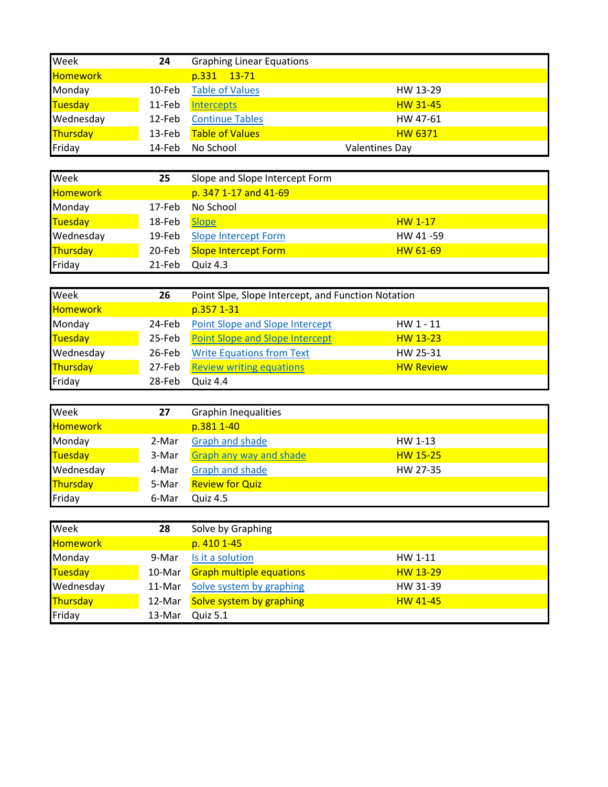| Week            | 24     | <b>Graphing Linear Equations</b> |                       |
|-----------------|--------|----------------------------------|-----------------------|
| <b>Homework</b> |        | p.331 13-71                      |                       |
| Monday          | 10-Feb | <b>Table of Values</b>           | HW 13-29              |
| Tuesday         | 11-Feb | <b>Intercepts</b>                | <b>HW 31-45</b>       |
| Wednesday       | 12-Feb | <b>Continue Tables</b>           | HW 47-61              |
| Thursday        | 13-Feb | <b>Table of Values</b>           | <b>HW 6371</b>        |
| Friday          | 14-Feb | No School                        | <b>Valentines Day</b> |

| Week            | 25     | Slope and Slope Intercept Form |                 |
|-----------------|--------|--------------------------------|-----------------|
| <b>Homework</b> |        | p. 347 1-17 and 41-69          |                 |
| Monday          | 17-Feb | No School                      |                 |
| Tuesday         | 18-Feb | <b>Slope</b>                   | $HW 1-17$       |
| Wednesday       | 19-Feb | <b>Slope Intercept Form</b>    | HW 41-59        |
| <b>Thursday</b> | 20-Feb | <b>Slope Intercept Form</b>    | <b>HW 61-69</b> |
| Friday          | 21-Feb | Quiz 4.3                       |                 |

| Week            | 26     | Point Slpe, Slope Intercept, and Function Notation |                  |
|-----------------|--------|----------------------------------------------------|------------------|
| <b>Homework</b> |        | p.357 1-31                                         |                  |
| Monday          | 24-Feb | <b>Point Slope and Slope Intercept</b>             | HW $1 - 11$      |
| Tuesday         | 25-Feb | <b>Point Slope and Slope Intercept</b>             | HW 13-23         |
| Wednesday       | 26-Feb | <b>Write Equations from Text</b>                   | HW 25-31         |
| <b>Thursday</b> | 27-Feb | <b>Review writing equations</b>                    | <b>HW Review</b> |
| Friday          | 28-Feb | Quiz 4.4                                           |                  |

| Week            | 27    | <b>Graphin Inequalities</b>    |                 |
|-----------------|-------|--------------------------------|-----------------|
| <b>Homework</b> |       | p.381 1-40                     |                 |
| Monday          | 2-Mar | Graph and shade                | HW 1-13         |
| Tuesday         | 3-Mar | <b>Graph any way and shade</b> | <b>HW 15-25</b> |
| Wednesday       | 4-Mar | Graph and shade                | HW 27-35        |
| <b>Thursday</b> | 5-Mar | <b>Review for Quiz</b>         |                 |
| Friday          | 6-Mar | <b>Quiz 4.5</b>                |                 |

| Week            | 28       | Solve by Graphing               |                 |
|-----------------|----------|---------------------------------|-----------------|
| <b>Homework</b> |          | p. 410 1-45                     |                 |
| Monday          | 9-Mar    | Is it a solution                | HW 1-11         |
| <b>Tuesday</b>  | 10-Mar   | <b>Graph multiple equations</b> | <b>HW 13-29</b> |
| Wednesday       | $11-Mar$ | Solve system by graphing        | HW 31-39        |
| Thursday        | 12-Mar   | Solve system by graphing        | <b>HW 41-45</b> |
| Friday          | 13-Mar   | Quiz 5.1                        |                 |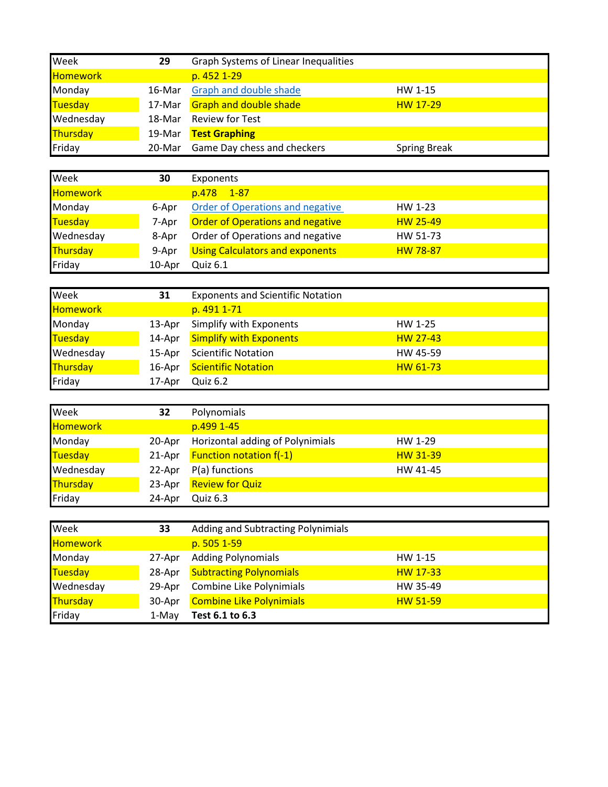| Week      | 29     | <b>Graph Systems of Linear Inequalities</b> |                     |
|-----------|--------|---------------------------------------------|---------------------|
| Homework  |        | p. 452 1-29                                 |                     |
| Monday    | 16-Mar | <b>Graph and double shade</b>               | HW 1-15             |
| Tuesday   | 17-Mar | <b>Graph and double shade</b>               | <b>HW 17-29</b>     |
| Wednesday | 18-Mar | <b>Review for Test</b>                      |                     |
| Thursday  | 19-Mar | <b>Test Graphing</b>                        |                     |
| Friday    | 20-Mar | Game Day chess and checkers                 | <b>Spring Break</b> |

| Week            | 30     | Exponents                               |                 |
|-----------------|--------|-----------------------------------------|-----------------|
| <b>Homework</b> |        | $1 - 87$<br>p.478                       |                 |
| Monday          | 6-Apr  | Order of Operations and negative        | HW 1-23         |
| <b>Tuesday</b>  | 7-Apr  | <b>Order of Operations and negative</b> | <b>HW 25-49</b> |
| Wednesday       | 8-Apr  | Order of Operations and negative        | HW 51-73        |
| <b>Thursday</b> | 9-Apr  | <b>Using Calculators and exponents</b>  | <b>HW 78-87</b> |
| Friday          | 10-Apr | Quiz 6.1                                |                 |

| Week            | 31     | <b>Exponents and Scientific Notation</b> |           |
|-----------------|--------|------------------------------------------|-----------|
| <b>Homework</b> |        | p. 491 1-71                              |           |
| Monday          | 13-Apr | Simplify with Exponents                  | HW 1-25   |
| Tuesday         | 14-Apr | <b>Simplify with Exponents</b>           | $HW27-43$ |
| Wednesday       | 15-Apr | <b>Scientific Notation</b>               | HW 45-59  |
| Thursday        | 16-Apr | <b>Scientific Notation</b>               | HW 61-73  |
| Friday          | 17-Apr | <b>Quiz 6.2</b>                          |           |

| Week            | 32     | Polynomials                      |          |
|-----------------|--------|----------------------------------|----------|
| <b>Homework</b> |        | p.499 1-45                       |          |
| Monday          | 20-Apr | Horizontal adding of Polynimials | HW 1-29  |
| Tuesday         | 21-Apr | <b>Function notation f(-1)</b>   | HW 31-39 |
| Wednesday       | 22-Apr | P(a) functions                   | HW 41-45 |
| Thursday        | 23-Apr | <b>Review for Quiz</b>           |          |
| Friday          | 24-Apr | Quiz 6.3                         |          |

| Week            | 33     | Adding and Subtracting Polynimials |                 |
|-----------------|--------|------------------------------------|-----------------|
| <b>Homework</b> |        | p. 505 1-59                        |                 |
| Monday          | 27-Apr | <b>Adding Polynomials</b>          | HW 1-15         |
| Tuesday         | 28-Apr | <b>Subtracting Polynomials</b>     | <b>HW 17-33</b> |
| Wednesday       | 29-Apr | Combine Like Polynimials           | HW 35-49        |
| Thursday        | 30-Apr | <b>Combine Like Polynimials</b>    | <b>HW 51-59</b> |
| Friday          | 1-May  | Test 6.1 to 6.3                    |                 |